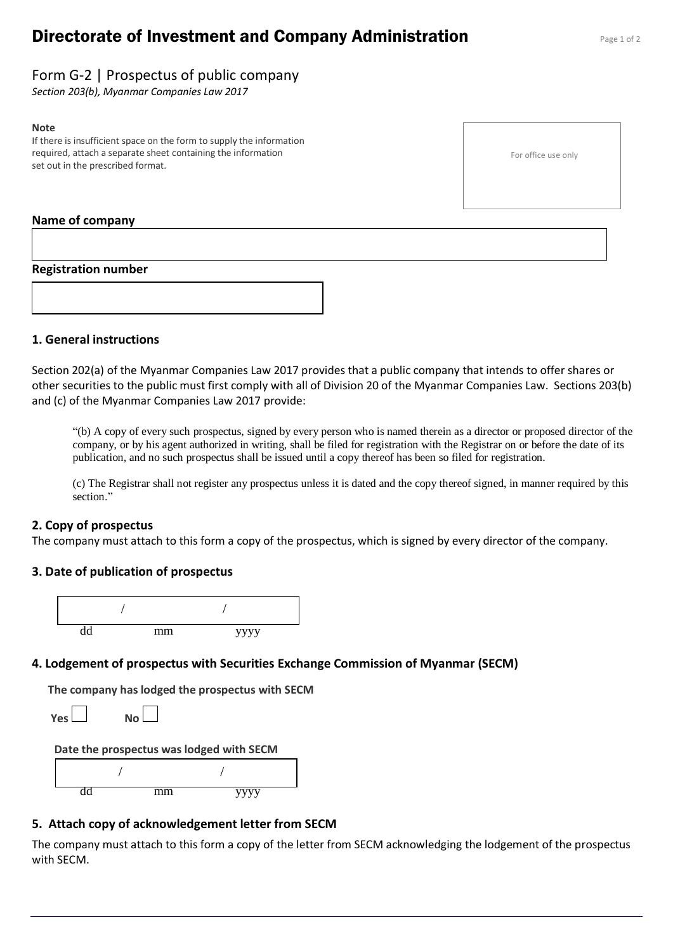# **Directorate of Investment and Company Administration** Page 1 of 2

# Form G-2 | Prospectus of public company

*Section 203(b), Myanmar Companies Law 2017*

#### **Note**

If there is insufficient space on the form to supply the information required, attach a separate sheet containing the information set out in the prescribed format.

#### For office use only

#### **Name of company**

#### **Registration number**



#### **1. General instructions**

Section 202(a) of the Myanmar Companies Law 2017 provides that a public company that intends to offer shares or other securities to the public must first comply with all of Division 20 of the Myanmar Companies Law. Sections 203(b) and (c) of the Myanmar Companies Law 2017 provide:

"(b) A copy of every such prospectus, signed by every person who is named therein as a director or proposed director of the company, or by his agent authorized in writing, shall be filed for registration with the Registrar on or before the date of its publication, and no such prospectus shall be issued until a copy thereof has been so filed for registration.

(c) The Registrar shall not register any prospectus unless it is dated and the copy thereof signed, in manner required by this section."

### **2. Copy of prospectus**

The company must attach to this form a copy of the prospectus, which is signed by every director of the company.

### **3. Date of publication of prospectus**



### **4. Lodgement of prospectus with Securities Exchange Commission of Myanmar (SECM)**

**The company has lodged the prospectus with SECM**

**Yes No** 

#### **Date the prospectus was lodged with SECM**



#### **5. Attach copy of acknowledgement letter from SECM**

The company must attach to this form a copy of the letter from SECM acknowledging the lodgement of the prospectus with SECM.